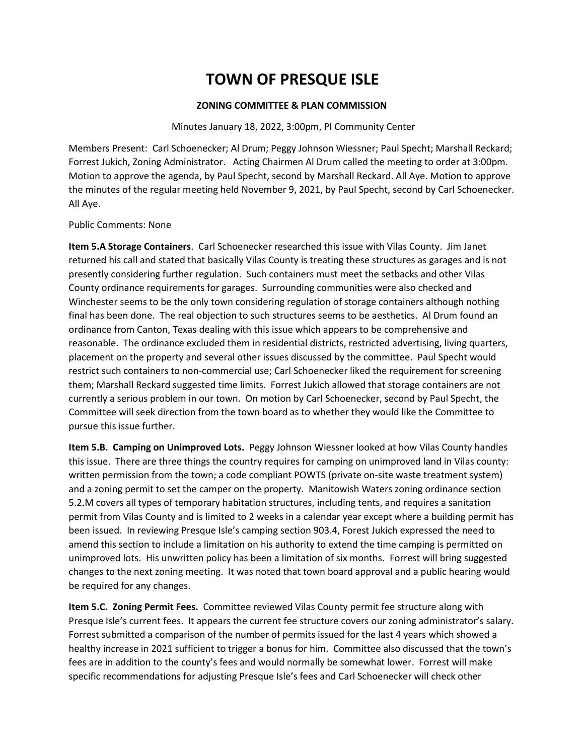## **TOWN OF PRESQUE ISLE**

## **ZONING COMMITTEE & PLAN COMMISSION**

## Minutes January 18, 2022, 3:00pm, PI Community Center

Members Present: Carl Schoenecker; Al Drum; Peggy Johnson Wiessner; Paul Specht; Marshall Reckard; Forrest Jukich, Zoning Administrator. Acting Chairmen Al Drum called the meeting to order at 3:00pm. Motion to approve the agenda, by Paul Specht, second by Marshall Reckard. All Aye. Motion to approve the minutes of the regular meeting held November 9, 2021, by Paul Specht, second by Carl Schoenecker. All Aye.

## Public Comments: None

**Item 5.A Storage Containers**. Carl Schoenecker researched this issue with Vilas County. Jim Janet returned his call and stated that basically Vilas County is treating these structures as garages and is not presently considering further regulation. Such containers must meet the setbacks and other Vilas County ordinance requirements for garages. Surrounding communities were also checked and Winchester seems to be the only town considering regulation of storage containers although nothing final has been done. The real objection to such structures seems to be aesthetics. Al Drum found an ordinance from Canton, Texas dealing with this issue which appears to be comprehensive and reasonable. The ordinance excluded them in residential districts, restricted advertising, living quarters, placement on the property and several other issues discussed by the committee. Paul Specht would restrict such containers to non-commercial use; Carl Schoenecker liked the requirement for screening them; Marshall Reckard suggested time limits. Forrest Jukich allowed that storage containers are not currently a serious problem in our town. On motion by Carl Schoenecker, second by Paul Specht, the Committee will seek direction from the town board as to whether they would like the Committee to pursue this issue further.

**Item 5.B. Camping on Unimproved Lots.** Peggy Johnson Wiessner looked at how Vilas County handles this issue. There are three things the country requires for camping on unimproved land in Vilas county: written permission from the town; a code compliant POWTS (private on-site waste treatment system) and a zoning permit to set the camper on the property. Manitowish Waters zoning ordinance section 5.2.M covers all types of temporary habitation structures, including tents, and requires a sanitation permit from Vilas County and is limited to 2 weeks in a calendar year except where a building permit has been issued. In reviewing Presque Isle's camping section 903.4, Forest Jukich expressed the need to amend this section to include a limitation on his authority to extend the time camping is permitted on unimproved lots. His unwritten policy has been a limitation of six months. Forrest will bring suggested changes to the next zoning meeting. It was noted that town board approval and a public hearing would be required for any changes.

**Item 5.C. Zoning Permit Fees.** Committee reviewed Vilas County permit fee structure along with Presque Isle's current fees. It appears the current fee structure covers our zoning administrator's salary. Forrest submitted a comparison of the number of permits issued for the last 4 years which showed a healthy increase in 2021 sufficient to trigger a bonus for him. Committee also discussed that the town's fees are in addition to the county's fees and would normally be somewhat lower. Forrest will make specific recommendations for adjusting Presque Isle's fees and Carl Schoenecker will check other